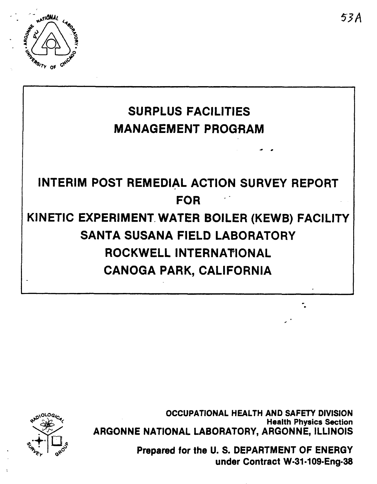

# **SURPLUS FACILITIES MANAGEMENT PROGRAM INTERIM POST REMEDIAL ACTION SURVEY REPORT FOR KINETIC EXPERIMENT. WATER BOILER (KEWB) FACILITY SANTA SUSANA FIELD LABORATORY ROCKWELL INTERNATIONAL CANOGA PARK, CALIFORNIA**

@'p+!( **OCCUPATIONAL HEALTH AND SAFETY DIVISION**  exation<br>
ARGONNE NATIONAL LABORATORY, ARGONNE, ILLINOIS<br>
Prepared for the U.S. DEPARTMENT OF ENERGY **ARGONNE NATIONAL LABORATORY, ARGONNE, ILLINOIS** 

**Prepared for the U. S. DEPARTMENT OF ENERGY under Contract W-31-109-Eng-38** 

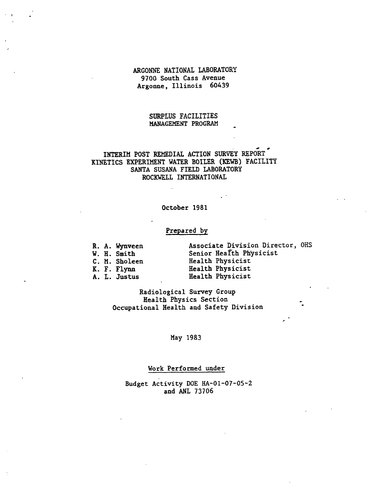## ARGONNE NATIONAL LABORATORY 9700 South Cass Avenue Argonne, Illinois 60439

## SURPLUS FACILITIES MANAGEMENT PROGRAM

#### $\mathbf{f} = \mathbf{f}$ INTERIM POST REMEDIAL ACTION SURVEY REPORT KINETICS EXPERIMENT WATER BOILER (KEWB) FACILITY SANTA SUSANA FIELD LABORATORY ROCKWELL INTERNATIONAL

### October 1981

# Prepared by

|  | R. A. Wynveen       | Associate Division Director, OHS |
|--|---------------------|----------------------------------|
|  | W. H. Smith         | Senior Health Physicist          |
|  | C. M. Sholeen       | Health Physicist                 |
|  | K. F. Flynn         | Health Physicist                 |
|  | <b>A. L. Justus</b> | Health Physicist                 |

,

Radiological Survey Group Health Physics Section Occupational Health and Safety Division

## May 1983

# Work Performed under

Budget Activity DOE **HA-01-07-05-2**  and ANL 73706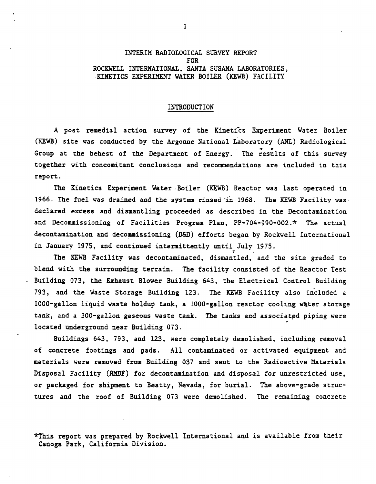## **1,YI'ERIM** RADIOLOGICAL SURVEY REPORT FOR ROCKWELL INTERNATIONAL, SANTA SUSANA LABORATORIES, KINETICS EXPERIMENT WATER BOILER **(XEkB** ) FACILITY

### INTRODUCTION

A post remedial action survey of the Kinetics Experiment Water Boiler **(KEWB)** site was conducted by the Argonne National Laboratory (ANL) Radiological Group at the behest of the Department of Energy. The results of this survey together with concomitant conclusions and recommendations are included in this report.

The Kinetics Experiment Water .Boiler **(KEVB)** Reactor was last operated in 1966. The fuel was drained and the system rinsed **-in** 1968. The **KEWB** Facility was declared excess and dismantling proceeded as described in the Decontamination and Decommissioning of Facilities Program Plan, PP-704-990-002.\* The actual decontamination and decommissioning (D&D) efforts began by Rockwell International in January **1975,** and continued intermittently until July **1975.** -

The **Eb'B** Facility was decontaminated, dismantled, and the site graded to blend with the surrounding terrain. The facility consisted of the Reactor Test - Building 073, the Exhaust Blower. Building 643, the Electrical Control Building 793, and the Waste Storage Building 123. The **KEWB** Facility also included a 1000-gallon liquid waste holdup tank, a 1000-gallon reactor cooling mter storage tank, and a 300-gallon gaseous waste tank. The tanks and associated piping were located underground near Building 073.

Buildings 643, 793, and 123, were completely demolished, including removal of concrete footings and pads. All contaminated or activated equipment and materials were removed from Building **037** and sent to the Radioactive Materials Disposal Facility **(RMDF)** for decontamination and disposal for unrestricted use, or packaged for shipment to Beatty, Nevada, for burial. The above-grade structures and the roof of Building 073 were demolished. The remaining concrete

\*This report was prepared by Rockwell International and is available from their Canoga Park, California Division.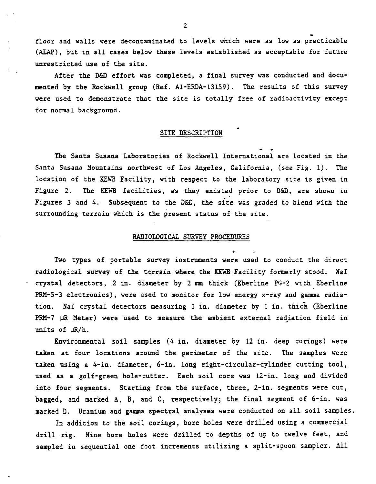floor and walls were decontaminated to levels which were as low as practicable *(XLAP),* but in all cases below these levels established as acceptabie for future unrestricted use of the site.

After the D&D effort was completed, a final survey was conducted and documented by the Rockwell group (Ref. A1-ERDA-13159). The results of this survey were used to demonstrate that the site is totally free of radioactivity except for normal background.

#### SITE DESCRIPTION

**4** \* The Santa Susana Laboratories of Rockwell International are located in the Santa Susana Yountains northwest of Los Angeles, California, (see Fig. 1). The location of the **KEWB** Facility, with respect to the laboratory site is given in Figure 2. The KEWB facilities, as they existed prior to D&D, are shown in Figures 3 and 4. Subsequent to the D&D, the site was graded to blend with the surrounding terrain which is the present status of the site.

#### **RADIOLOGICAL SURVEY PROCEDURES**

-

Two types of portable survey instruments were used to conduct the direct radiological **survey** of the terrain where the **KEFB** Facility formerly stood. Ha1 - crystal detectors, 2 in. diameter by 2 mm thick (Eberline PG-2 with Eberline **P&Y-5-3** electronics), were used to monitor for low energy x-ray and gamma radiation. NaI crystal detectors measuring l in. diameter by l in. thick (Eberline PRM-7 µR Meter) were used to measure the ambient external radiation field in units of  $\mu R/h$ .

Enviromnentai soil samples (4 in. diameter by 12 in. deep corings) **were**  taken at four locations around the perimeter of the site. The samples were taken using a 4-in. diameter, 6-in. long right-circular-cylinder cutting tool, used as a golf-green hole-cutter. Each soil core was 12-in. long and divided into four segments. Starting from the surface, three, 2-in. segments were cut, bagged, and marked A, B, and C, respectively; the final segment of 6-in. was marked D. Uranium and gamma spectral analyses were conducted on all soil samples.

In addition to the soil corings, bore holes were drilled using a commercial drill rig. Xine bore holes were drilled to depths of up to twelve feet, and sampled in sequential one foot increments utilizing a split-spoon sampler. A11

**2**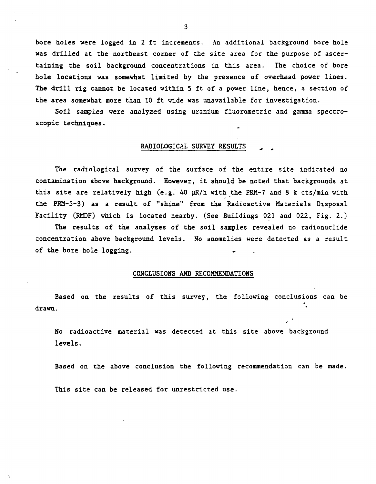**bore holes were logged in 2 ft increments. .An additional background bore hole**  was drilled at the northeast corner of the site area for the purpose of ascer**taining the soil background concentrations in this area. The choice of bore hole locations .was somewhat limited by the presence of overhead power lines. The drill rig cannot be located within 5 ft of a power line, hence, a section of the area somewhat more than 10 ft wide was unavailable for investigation.** 

**Soil samples were analyzed using uranium fluorometric and gamma spectroscopic techniques.** -

#### RADIOLOGICAL SURVEY RESULTS

**The radiological survey of the surface of the entire site indicated no contamination above background. However, it should be noted that backgrounds at**  this site are relatively high (e.g. 40  $\mu$ R/h with the PRM-7 and 8 k cts/min with **the PRM-5-3) as a result of "shine" from the Radioactive Materials Disposal Facility (RMDF) which is located nearby. (See Buildings 021 and 022, Fig. 2.)** 

**The results of the analyses of the soil samples revealed no radionuclide concentration above background levels. No anomalies were detected as a result of the bore hole logging.** -

#### CONCLUSIONS AND RECOMMENDATIONS

**Based on the results of this survey, the following conclusions can be drawn.** -

**No radioactive material was detected at this site above background levels.** 

**Based on the above conclusion the following recommendation can be made. This site can be released for unrestricted use.** 

 $\overline{3}$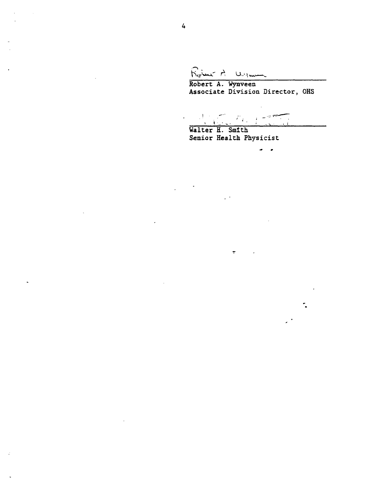Robert A Wyman

**Robert A. Wynveen Associate Division Director, OHS** 

\ **I..-.-.** . . .,- **a: Walter H. SmTth** 

 $\bullet$ 

**Senior Health Physicist** 

 $\mathbb{Z}^{d-1}$ 

 $\div$ 

 $\mathcal{L}$ 

 $\ddot{\phantom{0}}$ 

k,

 $\frac{1}{2} \left( \frac{1}{2} \right) \left( \frac{1}{2} \right)$ 

 $\overline{a}$ 

 $\ddot{\phantom{a}}$ 

 $\ddot{\phantom{a}}$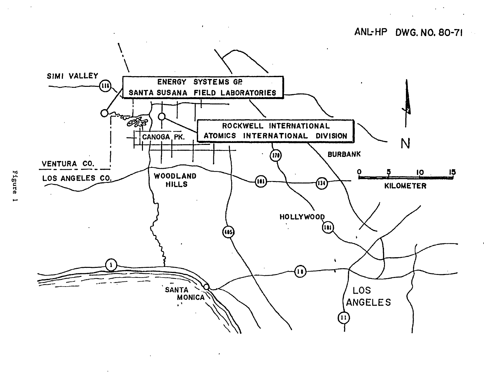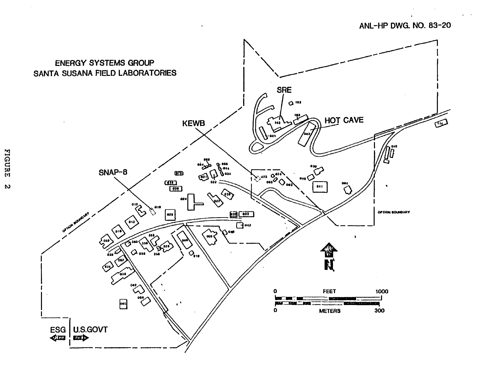# ANL-HP DWG. NO. 83-20

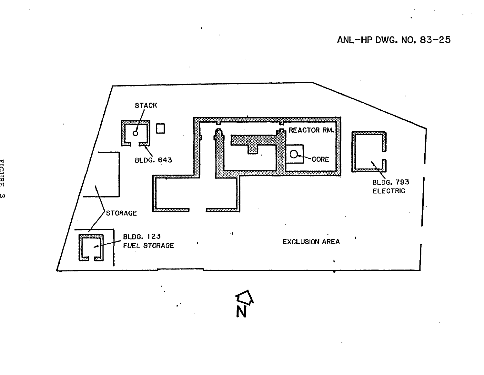**ANL-HP DWG. NO. 83-25** 



 $\bullet$ 

 $\mathbf{r}$ 

напси  $\boldsymbol{\omega}$